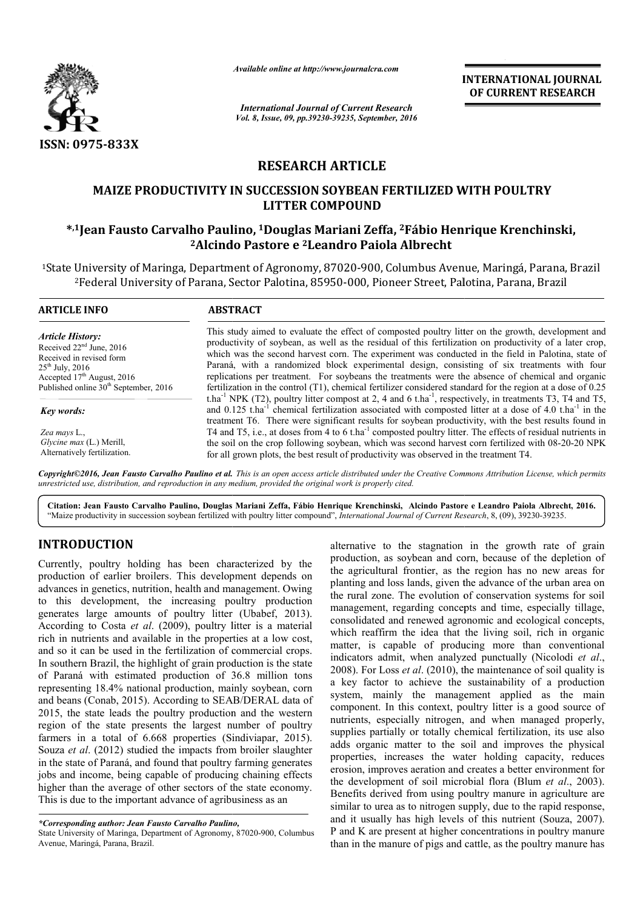

*Available online at http://www.journalcra.com*

*International Journal of Current Research Vol. 8, Issue, 09, pp.39230-39235, September, 2016* INTERNATIONAL JOURNAL OF CURRENT RESEARCH

# RESEARCH ARTICLE

# MAIZE PRODUCTIVITY IN SUCCESSION SOYBEAN FERTILIZED WITH POULTRY LITTER COMPOUND

# \*,1Jean Fausto Carvalho Paulino, <sup>1</sup>Douglas Mariani Zeffa, <sup>2</sup>Fábio Henrique Krenchinski, 2Alcindo Pastore e Alcindo 2Leandro Paiola Albrecht

<sup>1</sup>State University of Maringa, Department of Agronomy, 87020-900, Columbus Avenue, Maringá, Parana, Brazil <sup>2</sup>Federal University of Parana, Sector Palotina, 85950-000, Pioneer Street, Palotina, Parana, Brazil

| <b>ARTICLE INFO</b>                     | <b>ABSTRACT</b>                                                                                                                                                                                                                                                                                                                                                               |
|-----------------------------------------|-------------------------------------------------------------------------------------------------------------------------------------------------------------------------------------------------------------------------------------------------------------------------------------------------------------------------------------------------------------------------------|
| <b>Article History:</b>                 | This study aimed to evaluate the effect of composted poultry litter on the growth, development and                                                                                                                                                                                                                                                                            |
| Received $22nd$ June, 2016              | productivity of soybean, as well as the residual of this fertilization on productivity of a later crop,                                                                                                                                                                                                                                                                       |
| Received in revised form                | which was the second harvest corn. The experiment was conducted in the field in Palotina, state of                                                                                                                                                                                                                                                                            |
| $25^{\text{th}}$ July, 2016             | Paraná, with a randomized block experimental design, consisting of six treatments with four                                                                                                                                                                                                                                                                                   |
| Accepted $17th$ August, 2016            | replications per treatment. For soybeans the treatments were the absence of chemical and organic                                                                                                                                                                                                                                                                              |
| Published online $30th$ September, 2016 | fertilization in the control $(T1)$ , chemical fertilizer considered standard for the region at a dose of 0.25                                                                                                                                                                                                                                                                |
| Key words:                              | t.ha <sup>-1</sup> NPK (T2), poultry litter compost at 2, 4 and 6 t.ha <sup>-1</sup> , respectively, in treatments T3, T4 and T5,<br>and 0.125 t.ha <sup>-1</sup> chemical fertilization associated with composted litter at a dose of 4.0 t.ha <sup>-1</sup> in the<br>treatment T6. There were significant results for soybean productivity, with the best results found in |
| Zea mays L.,                            | T4 and T5, i.e., at doses from 4 to 6 t.ha <sup>-1</sup> composted poultry litter. The effects of residual nutrients in                                                                                                                                                                                                                                                       |
| <i>Glycine max (L.)</i> Merill,         | the soil on the crop following soybean, which was second harvest corn fertilized with 08-20-20 NPK                                                                                                                                                                                                                                                                            |
| Alternatively fertilization.            | for all grown plots, the best result of productivity was observed in the treatment T4.                                                                                                                                                                                                                                                                                        |

*Copyright©2016, Jean Fausto Carvalho Paulino et al. . This is an open access article distributed under the Creative Commons Att Attribution License, which permits unrestricted use, distribution, and reproduction in any medium, provided the original work is properly cited.*

Citation: Jean Fausto Carvalho Paulino, Douglas Mariani Zeffa, Fábio Henrique Krenchinski, Alcindo Pastore e Leandro Paiola Albrecht, 2016. "Maize productivity in succession soybean fertilized with poultry litter compound", *International Journal of Current Research*, 8, (09), 39230-39235.

# INTRODUCTION

Currently, poultry holding has been characterized by the production of earlier broilers. This development depends on advances in genetics, nutrition, health and management. Owing to this development, the increasing poultry production generates large amounts of poultry litter (Ubabef, 2013). According to Costa *et al*. (2009), poultry litter is a material rich in nutrients and available in the properties at a low cost, and so it can be used in the fertilization of commercial crops. In southern Brazil, the highlight of grain production is the state of Paraná with estimated production of 36.8 million tons representing 18.4% national production, mainly soybean, corn and beans (Conab, 2015). According to SEAB/DERAL data of 2015, the state leads the poultry production and the western region of the state presents the largest number of poultry farmers in a total of 6.668 properties (Sindiviapar, 2015). Souza *et al*. (2012) studied the impacts from broiler slaughter in the state of Paraná, and found that poultry farming generates jobs and income, being capable of producing chaining effects higher than the average of other sectors of the state economy. This is due to the important advance of agribusiness as an tional production, mainly soybean, corn<br>5). According to SEAB/DERAL data of<br>the poultry production and the western<br>resents the largest number of poultry<br>6.668 properties (Sindiviapar, 2015).<br>1. died the impacts from broile alternative to the stagnation in the growth rate of grain production, as soybean and corn, because of the depletion of the agricultural frontier, as the region has no new areas for planting and loss lands, given the advance of the urban area on the rural zone. The evolution of conservation systems for soil management, regarding concepts and time, especially tillage, consolidated and renewed agronomic and ecological concepts, which reaffirm the idea that the living soil, rich in organic matter, is capable of producing more than conventional indicators admit, when analyzed punctually (Nicolodi et al., 2008). For Loss *et al*. (2010), the maintenance of soil quality is a key factor to achieve the sustainability of a production 2008). For Loss *et al.* (2010), the maintenance of soil quality is a key factor to achieve the sustainability of a production system, mainly the management applied as the main component. In this context, poultry litter is a good source of nutrients, especially nitrogen, and when managed properly, supplies partially or totally chemical fertilization, its use also adds organic matter to the soil and improves the physical properties, increases the water holding capacity, reduces erosion, improves aeration and creates a better environment for the development of soil microbial flora (Blum *et al.*, 2003). Benefits derived from using poultry manure in agriculture are similar to urea as to nitrogen supply, due to the rapid response, and it usually has high levels of this nutrient (Souza, 2007). P and K are present at higher concentrations in poultry manure than in the manure of pigs and cattle, as the poultry manure has alternative to the stagnation in the growth rate of grain production, as soybean and corn, because of the depletion of the agricultural frontier, as the region has no new areas for planting and loss lands, given the advanc component. In this context, poultry litter is a good source of nutrients, especially nitrogen, and when managed properly, supplies partially or totally chemical fertilization, its use also adds organic matter to the soil a INTERNATIONAL JOURNAL OF CURRENT RESEARCH<br>
Sources and the search of the search of the search of the search of the search of the search of the search of the search of the search of the search of the search of the search o

*<sup>\*</sup>Corresponding author: Jean Fausto Carvalho Paulino,*

State University of Maringa, Department of Agronomy, 87020-900, Columbus Avenue, Maringá, Parana, Brazil.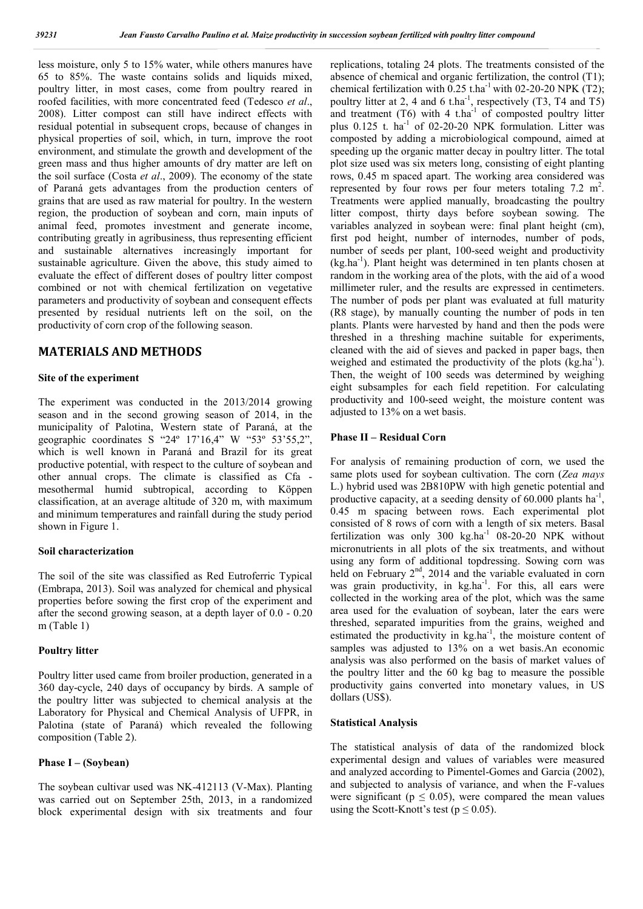less moisture, only 5 to 15% water, while others manures have 65 to 85%. The waste contains solids and liquids mixed, poultry litter, in most cases, come from poultry reared in roofed facilities, with more concentrated feed (Tedesco *et al*., 2008). Litter compost can still have indirect effects with residual potential in subsequent crops, because of changes in physical properties of soil, which, in turn, improve the root environment, and stimulate the growth and development of the green mass and thus higher amounts of dry matter are left on the soil surface (Costa *et al*., 2009). The economy of the state of Paraná gets advantages from the production centers of grains that are used as raw material for poultry. In the western region, the production of soybean and corn, main inputs of animal feed, promotes investment and generate income, contributing greatly in agribusiness, thus representing efficient and sustainable alternatives increasingly important for sustainable agriculture. Given the above, this study aimed to evaluate the effect of different doses of poultry litter compost combined or not with chemical fertilization on vegetative parameters and productivity of soybean and consequent effects presented by residual nutrients left on the soil, on the productivity of corn crop of the following season.

# MATERIALS AND METHODS

### Site of the experiment

The experiment was conducted in the 2013/2014 growing season and in the second growing season of 2014, in the municipality of Palotina, Western state of Paraná, at the geographic coordinates S "24º 17'16,4" W "53º 53'55,2", which is well known in Paraná and Brazil for its great productive potential, with respect to the culture of soybean and other annual crops. The climate is classified as Cfa mesothermal humid subtropical, according to Köppen classification, at an average altitude of 320 m, with maximum and minimum temperatures and rainfall during the study period shown in Figure 1.

### Soil characterization

The soil of the site was classified as Red Eutroferric Typical (Embrapa, 2013). Soil was analyzed for chemical and physical properties before sowing the first crop of the experiment and after the second growing season, at a depth layer of 0.0 - 0.20 m (Table 1)

#### Poultry litter

Poultry litter used came from broiler production, generated in a 360 day-cycle, 240 days of occupancy by birds. A sample of the poultry litter was subjected to chemical analysis at the Laboratory for Physical and Chemical Analysis of UFPR, in Palotina (state of Paraná) which revealed the following composition (Table 2).

### Phase I – (Soybean)

The soybean cultivar used was NK-412113 (V-Max). Planting was carried out on September 25th, 2013, in a randomized block experimental design with six treatments and four replications, totaling 24 plots. The treatments consisted of the absence of chemical and organic fertilization, the control (T1); chemical fertilization with  $0.25$  t.ha<sup>-1</sup> with 02-20-20 NPK (T2); poultry litter at 2, 4 and 6 t.ha<sup>-1</sup>, respectively  $(T3, T4$  and T5) and treatment  $(T6)$  with 4 t.ha<sup>-1</sup> of composted poultry litter plus  $0.125$  t. ha<sup>-1</sup> of 02-20-20 NPK formulation. Litter was composted by adding a microbiological compound, aimed at speeding up the organic matter decay in poultry litter. The total plot size used was six meters long, consisting of eight planting rows, 0.45 m spaced apart. The working area considered was represented by four rows per four meters totaling  $7.2 \text{ m}^2$ . Treatments were applied manually, broadcasting the poultry litter compost, thirty days before soybean sowing. The variables analyzed in soybean were: final plant height (cm), first pod height, number of internodes, number of pods, number of seeds per plant, 100-seed weight and productivity (kg.ha-1 ). Plant height was determined in ten plants chosen at random in the working area of the plots, with the aid of a wood millimeter ruler, and the results are expressed in centimeters. The number of pods per plant was evaluated at full maturity (R8 stage), by manually counting the number of pods in ten plants. Plants were harvested by hand and then the pods were threshed in a threshing machine suitable for experiments, cleaned with the aid of sieves and packed in paper bags, then weighed and estimated the productivity of the plots (kg.ha<sup>-1</sup>). Then, the weight of 100 seeds was determined by weighing eight subsamples for each field repetition. For calculating productivity and 100-seed weight, the moisture content was adjusted to 13% on a wet basis.

### Phase II – Residual Corn

For analysis of remaining production of corn, we used the same plots used for soybean cultivation. The corn (*Zea mays* L.) hybrid used was 2B810PW with high genetic potential and productive capacity, at a seeding density of  $60.000$  plants ha<sup>-1</sup>, 0.45 m spacing between rows. Each experimental plot consisted of 8 rows of corn with a length of six meters. Basal fertilization was only  $300 \text{ kg.ha}^{-1}$  08-20-20 NPK without micronutrients in all plots of the six treatments, and without using any form of additional topdressing. Sowing corn was held on February  $2<sup>nd</sup>$ , 2014 and the variable evaluated in corn was grain productivity, in kg.ha<sup>-1</sup>. For this, all ears were collected in the working area of the plot, which was the same area used for the evaluation of soybean, later the ears were threshed, separated impurities from the grains, weighed and estimated the productivity in kg.ha<sup>-1</sup>, the moisture content of samples was adjusted to 13% on a wet basis.An economic analysis was also performed on the basis of market values of the poultry litter and the 60 kg bag to measure the possible productivity gains converted into monetary values, in US dollars (US\$).

### Statistical Analysis

The statistical analysis of data of the randomized block experimental design and values of variables were measured and analyzed according to Pimentel-Gomes and Garcia (2002), and subjected to analysis of variance, and when the F-values were significant ( $p \le 0.05$ ), were compared the mean values using the Scott-Knott's test ( $p \le 0.05$ ).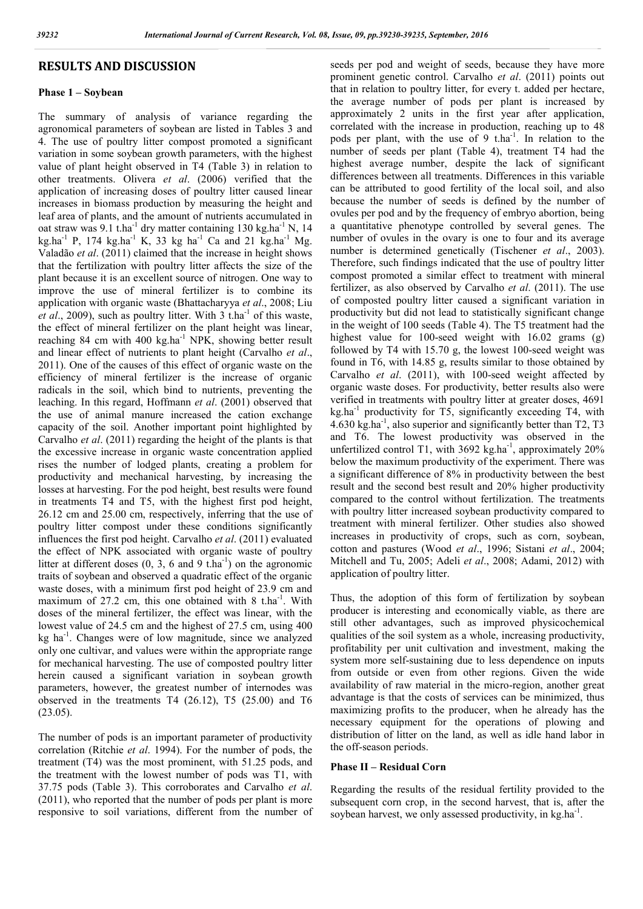# RESULTS AND DISCUSSION

### Phase 1 – Soybean

The summary of analysis of variance regarding the agronomical parameters of soybean are listed in Tables 3 and 4. The use of poultry litter compost promoted a significant variation in some soybean growth parameters, with the highest value of plant height observed in T4 (Table 3) in relation to other treatments. Olivera *et al*. (2006) verified that the application of increasing doses of poultry litter caused linear increases in biomass production by measuring the height and leaf area of plants, and the amount of nutrients accumulated in oat straw was  $9.1$  t.ha<sup>-1</sup> dry matter containing 130 kg.ha<sup>-1</sup> N, 14  $kg.ha^{-1}$  P, 174 kg.ha<sup>-1</sup> K, 33 kg ha<sup>-1</sup> Ca and 21 kg.ha<sup>-1</sup> Mg. Valadão *et al*. (2011) claimed that the increase in height shows that the fertilization with poultry litter affects the size of the plant because it is an excellent source of nitrogen. One way to improve the use of mineral fertilizer is to combine its application with organic waste (Bhattacharyya *et al*., 2008; Liu *et al.*, 2009), such as poultry litter. With  $3$  t.ha<sup>-1</sup> of this waste, the effect of mineral fertilizer on the plant height was linear, reaching 84 cm with 400 kg.ha<sup>-1</sup> NPK, showing better result and linear effect of nutrients to plant height (Carvalho *et al*., 2011). One of the causes of this effect of organic waste on the efficiency of mineral fertilizer is the increase of organic radicals in the soil, which bind to nutrients, preventing the leaching. In this regard, Hoffmann *et al*. (2001) observed that the use of animal manure increased the cation exchange capacity of the soil. Another important point highlighted by Carvalho *et al*. (2011) regarding the height of the plants is that the excessive increase in organic waste concentration applied rises the number of lodged plants, creating a problem for productivity and mechanical harvesting, by increasing the losses at harvesting. For the pod height, best results were found in treatments T4 and T5, with the highest first pod height, 26.12 cm and 25.00 cm, respectively, inferring that the use of poultry litter compost under these conditions significantly influences the first pod height. Carvalho *et al*. (2011) evaluated the effect of NPK associated with organic waste of poultry litter at different doses  $(0, 3, 6 \text{ and } 9 \text{ t.ha}^{-1})$  on the agronomic traits of soybean and observed a quadratic effect of the organic waste doses, with a minimum first pod height of 23.9 cm and maximum of 27.2 cm, this one obtained with 8 t.ha<sup>-1</sup>. With doses of the mineral fertilizer, the effect was linear, with the lowest value of 24.5 cm and the highest of 27.5 cm, using 400 kg ha<sup>-1</sup>. Changes were of low magnitude, since we analyzed only one cultivar, and values were within the appropriate range for mechanical harvesting. The use of composted poultry litter herein caused a significant variation in soybean growth parameters, however, the greatest number of internodes was observed in the treatments T4 (26.12), T5 (25.00) and T6 (23.05).

The number of pods is an important parameter of productivity correlation (Ritchie *et al*. 1994). For the number of pods, the treatment (T4) was the most prominent, with 51.25 pods, and the treatment with the lowest number of pods was T1, with 37.75 pods (Table 3). This corroborates and Carvalho *et al*. (2011), who reported that the number of pods per plant is more responsive to soil variations, different from the number of seeds per pod and weight of seeds, because they have more prominent genetic control. Carvalho *et al*. (2011) points out that in relation to poultry litter, for every t. added per hectare, the average number of pods per plant is increased by approximately 2 units in the first year after application, correlated with the increase in production, reaching up to 48 pods per plant, with the use of 9 t.ha<sup>-1</sup>. In relation to the number of seeds per plant (Table 4), treatment T4 had the highest average number, despite the lack of significant differences between all treatments. Differences in this variable can be attributed to good fertility of the local soil, and also because the number of seeds is defined by the number of ovules per pod and by the frequency of embryo abortion, being a quantitative phenotype controlled by several genes. The number of ovules in the ovary is one to four and its average number is determined genetically (Tischener *et al*., 2003). Therefore, such findings indicated that the use of poultry litter compost promoted a similar effect to treatment with mineral fertilizer, as also observed by Carvalho *et al*. (2011). The use of composted poultry litter caused a significant variation in productivity but did not lead to statistically significant change in the weight of 100 seeds (Table 4). The T5 treatment had the highest value for 100-seed weight with 16.02 grams (g) followed by T4 with 15.70 g, the lowest 100-seed weight was found in T6, with 14.85 g, results similar to those obtained by Carvalho *et al*. (2011), with 100-seed weight affected by organic waste doses. For productivity, better results also were verified in treatments with poultry litter at greater doses, 4691  $kg<sub>1</sub>$  ha<sup>-1</sup> productivity for T5, significantly exceeding T4, with 4.630 kg.ha-1 , also superior and significantly better than T2, T3 and T6. The lowest productivity was observed in the unfertilized control T1, with  $3692 \text{ kg.ha}^{-1}$ , approximately  $20\%$ below the maximum productivity of the experiment. There was a significant difference of 8% in productivity between the best result and the second best result and 20% higher productivity compared to the control without fertilization. The treatments with poultry litter increased soybean productivity compared to treatment with mineral fertilizer. Other studies also showed increases in productivity of crops, such as corn, soybean, cotton and pastures (Wood *et al*., 1996; Sistani *et al*., 2004; Mitchell and Tu, 2005; Adeli *et al*., 2008; Adami, 2012) with application of poultry litter.

Thus, the adoption of this form of fertilization by soybean producer is interesting and economically viable, as there are still other advantages, such as improved physicochemical qualities of the soil system as a whole, increasing productivity, profitability per unit cultivation and investment, making the system more self-sustaining due to less dependence on inputs from outside or even from other regions. Given the wide availability of raw material in the micro-region, another great advantage is that the costs of services can be minimized, thus maximizing profits to the producer, when he already has the necessary equipment for the operations of plowing and distribution of litter on the land, as well as idle hand labor in the off-season periods.

### Phase II – Residual Corn

Regarding the results of the residual fertility provided to the subsequent corn crop, in the second harvest, that is, after the soybean harvest, we only assessed productivity, in kg.ha<sup>-1</sup>.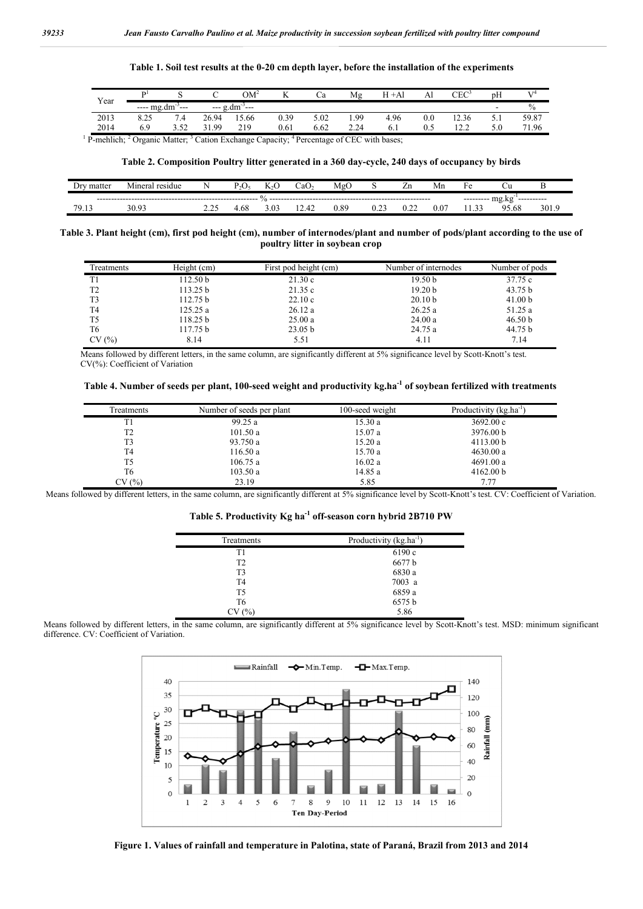## Table 1. Soil test results at the 0-20 cm depth layer, before the installation of the experiments

| Year |            |         |             | $OM^2$                                | $\mathbf{r}$<br>$\overline{1}$ | Cа   | Mg   | Н<br>$+Al$ | Al  | ${\rm CEC}^2$ | pH     |       |
|------|------------|---------|-------------|---------------------------------------|--------------------------------|------|------|------------|-----|---------------|--------|-------|
|      | ---- mg.dm | $- - -$ | $-- \sigma$ | $g_{\rm d}$ dm <sup>-1</sup><br>.<br> |                                |      |      |            |     |               | -      | $\%$  |
| 2013 | ر ے. ن     | 7.4     | 26.94       | 15.66                                 | 0.39                           | 5.02 | 1.99 | 4.96       | 0.0 | 12.36         | $\sim$ | 59.87 |
| 2014 |            | 3.52    | 1.99<br>31  | 219                                   | 0.61                           | 6.62 | 2.24 | 6.1        | 0.5 | 122<br>14.L   | 5.0    | 71.96 |
|      |            |         |             |                                       |                                |      |      |            |     |               |        |       |

 $1$  P-mehlich;  $2$  Organic Matter;  $3$  Cation Exchange Capacity;  $4$  Percentage of CEC with bases;

## Table 2. Composition Poultry litter generated in a 360 day-cycle, 240 days of occupancy by birds

| matter                               | Miners<br>residiie | N<br>. . |      |                  | ∴a∪         | Mg               |      | Ζn   | Мn  | нρ          |            | ╌    |
|--------------------------------------|--------------------|----------|------|------------------|-------------|------------------|------|------|-----|-------------|------------|------|
| $mg$ .kg<br>-----------<br>--------- |                    |          |      |                  |             |                  |      |      |     |             |            |      |
| 70                                   | $\mathbf{a}$ .     | <u>.</u> | 1.08 | $\Omega$<br>3.U. | . .<br>-- 7 | 0.8 <sup>o</sup> | ∪.∠. | ---- | 0.0 | $\sim$<br>. | 5.68<br>95 | 301. |

### Table 3. Plant height (cm), first pod height (cm), number of internodes/plant and number of pods/plant according to the use of poultry litter in soybean crop

| Treatments     | Height (cm)         | First pod height (cm) | Number of internodes | Number of pods |
|----------------|---------------------|-----------------------|----------------------|----------------|
| T1             | 112.50 <sub>b</sub> | 21.30c                | 19.50 <sub>b</sub>   | 37.75 c        |
| T <sub>2</sub> | 113.25 b            | 21.35c                | 19.20 <sub>b</sub>   | 43.75 b        |
| T3             | 112.75 b            | 22.10c                | 20.10 <sub>b</sub>   | 41.00 b        |
| T <sub>4</sub> | 125.25a             | 26.12a                | 26.25a               | 51.25 a        |
| T5             | 118.25 b            | 25.00a                | 24.00a               | 46.50 b        |
| T6             | 117.75 b            | 23.05 <sub>b</sub>    | 24.75 a              | 44.75 b        |
| CV(%)          | 8.14                | 5.51                  | 4.11                 | 7.14           |

Means followed by different letters, in the same column, are significantly different at 5% significance level by Scott-Knott's test. CV(%): Coefficient of Variation

### Table 4. Number of seeds per plant, 100-seed weight and productivity kg.ha<sup>-1</sup> of soybean fertilized with treatments

| Treatments     | Number of seeds per plant | 100-seed weight | Productivity $(kg, ha^{-1})$ |
|----------------|---------------------------|-----------------|------------------------------|
| T1             | 99.25a                    | 15.30a          | 3692.00c                     |
| T <sub>2</sub> | 101.50a                   | 15.07a          | 3976.00 b                    |
| T3             | 93.750 a                  | 15.20a          | 4113.00 b                    |
| T4             | 116.50a                   | 15.70a          | 4630.00 a                    |
| T5             | 106.75a                   | 16.02 a         | 4691.00 a                    |
| T6             | 103.50a                   | 14.85 a         | 4162.00 b                    |
| CV(%)          | 23.19                     | 5.85            | 7.77                         |

Means followed by different letters, in the same column, are significantly different at 5% significance level by Scott-Knott's test. CV: Coefficient of Variation.

## Table 5. Productivity Kg ha<sup>-1</sup> off-season corn hybrid 2B710 PW

| Treatments     | Productivity $(kg, ha^{-1})$ |
|----------------|------------------------------|
| T1             | 6190 c                       |
| T <sub>2</sub> | 6677 b                       |
| T <sub>3</sub> | 6830 a                       |
| T <sub>4</sub> | 7003 a                       |
| T <sub>5</sub> | 6859 a                       |
| T6             | 6575 b                       |
| (% )           | 5.86                         |

Means followed by different letters, in the same column, are significantly different at 5% significance level by Scott-Knott's test. MSD: minimum significant difference. CV: Coefficient of Variation.



Figure 1. Values of rainfall and temperature in Palotina, state of Paraná, Brazil from 2013 and 2014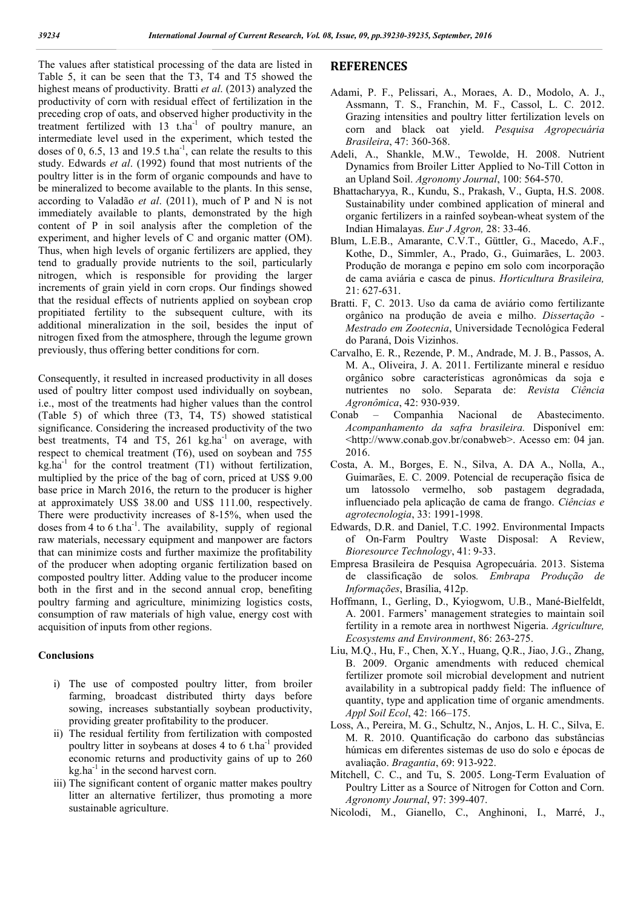The values after statistical processing of the data are listed in Table 5, it can be seen that the T3, T4 and T5 showed the highest means of productivity. Bratti *et al*. (2013) analyzed the productivity of corn with residual effect of fertilization in the preceding crop of oats, and observed higher productivity in the treatment fertilized with  $13$  t.ha<sup>-1</sup> of poultry manure, an intermediate level used in the experiment, which tested the doses of 0, 6.5, 13 and 19.5 t.ha<sup>-1</sup>, can relate the results to this study. Edwards *et al*. (1992) found that most nutrients of the poultry litter is in the form of organic compounds and have to be mineralized to become available to the plants. In this sense, according to Valadão *et al*. (2011), much of P and N is not immediately available to plants, demonstrated by the high content of P in soil analysis after the completion of the experiment, and higher levels of C and organic matter (OM). Thus, when high levels of organic fertilizers are applied, they tend to gradually provide nutrients to the soil, particularly nitrogen, which is responsible for providing the larger increments of grain yield in corn crops. Our findings showed that the residual effects of nutrients applied on soybean crop propitiated fertility to the subsequent culture, with its additional mineralization in the soil, besides the input of nitrogen fixed from the atmosphere, through the legume grown previously, thus offering better conditions for corn.

Consequently, it resulted in increased productivity in all doses used of poultry litter compost used individually on soybean, i.e., most of the treatments had higher values than the control (Table 5) of which three (T3, T4, T5) showed statistical significance. Considering the increased productivity of the two best treatments, T4 and T5, 261 kg.ha<sup>-1</sup> on average, with respect to chemical treatment (T6), used on soybean and 755  $kg<sub>1</sub>ha<sup>-1</sup>$  for the control treatment (T1) without fertilization, multiplied by the price of the bag of corn, priced at US\$ 9.00 base price in March 2016, the return to the producer is higher at approximately US\$ 38.00 and US\$ 111.00, respectively. There were productivity increases of 8-15%, when used the doses from  $4$  to  $6$  t.ha<sup>-1</sup>. The availability, supply of regional raw materials, necessary equipment and manpower are factors that can minimize costs and further maximize the profitability of the producer when adopting organic fertilization based on composted poultry litter. Adding value to the producer income both in the first and in the second annual crop, benefiting poultry farming and agriculture, minimizing logistics costs, consumption of raw materials of high value, energy cost with acquisition of inputs from other regions.

## Conclusions

- i) The use of composted poultry litter, from broiler farming, broadcast distributed thirty days before sowing, increases substantially soybean productivity, providing greater profitability to the producer.
- ii) The residual fertility from fertilization with composted poultry litter in soybeans at doses 4 to 6 t.ha<sup>-1</sup> provided economic returns and productivity gains of up to 260  $kg<sub>1</sub>$  in the second harvest corn.
- iii) The significant content of organic matter makes poultry litter an alternative fertilizer, thus promoting a more sustainable agriculture.

# **REFERENCES**

- Adami, P. F., Pelissari, A., Moraes, A. D., Modolo, A. J., Assmann, T. S., Franchin, M. F., Cassol, L. C. 2012. Grazing intensities and poultry litter fertilization levels on corn and black oat yield. *Pesquisa Agropecuária Brasileira*, 47: 360-368.
- Adeli, A., Shankle, M.W., Tewolde, H. 2008. Nutrient Dynamics from Broiler Litter Applied to No-Till Cotton in an Upland Soil. *Agronomy Journal*, 100: 564-570.
- Bhattacharyya, R., Kundu, S., Prakash, V., Gupta, H.S. 2008. Sustainability under combined application of mineral and organic fertilizers in a rainfed soybean-wheat system of the Indian Himalayas. *Eur J Agron,* 28: 33-46.
- Blum, L.E.B., Amarante, C.V.T., Güttler, G., Macedo, A.F., Kothe, D., Simmler, A., Prado, G., Guimarães, L. 2003. Produção de moranga e pepino em solo com incorporação de cama aviária e casca de pinus. *Horticultura Brasileira,* 21: 627-631.
- Bratti. F, C. 2013. Uso da cama de aviário como fertilizante orgânico na produção de aveia e milho. *Dissertação - Mestrado em Zootecnia*, Universidade Tecnológica Federal do Paraná, Dois Vizinhos.
- Carvalho, E. R., Rezende, P. M., Andrade, M. J. B., Passos, A. M. A., Oliveira, J. A. 2011. Fertilizante mineral e resíduo orgânico sobre características agronômicas da soja e nutrientes no solo. Separata de: *Revista Ciência Agronômica*, 42: 930-939.
- Conab Companhia Nacional de Abastecimento. *Acompanhamento da safra brasileira.* Disponível em: <http://www.conab.gov.br/conabweb>. Acesso em: 04 jan. 2016.
- Costa, A. M., Borges, E. N., Silva, A. DA A., Nolla, A., Guimarães, E. C. 2009. Potencial de recuperação física de um latossolo vermelho, sob pastagem degradada, influenciado pela aplicação de cama de frango. *Ciências e agrotecnologia*, 33: 1991-1998.
- Edwards, D.R. and Daniel, T.C. 1992. Environmental Impacts of On-Farm Poultry Waste Disposal: A Review, *Bioresource Technology*, 41: 9-33.
- Empresa Brasileira de Pesquisa Agropecuária. 2013. Sistema de classificação de solos*. Embrapa Produção de Informações*, Brasília, 412p.
- Hoffmann, I., Gerling, D., Kyiogwom, U.B., Mané-Bielfeldt, A. 2001. Farmers' management strategies to maintain soil fertility in a remote area in northwest Nigeria. *Agriculture, Ecosystems and Environment*, 86: 263-275.
- Liu, M.Q., Hu, F., Chen, X.Y., Huang, Q.R., Jiao, J.G., Zhang, B. 2009. Organic amendments with reduced chemical fertilizer promote soil microbial development and nutrient availability in a subtropical paddy field: The influence of quantity, type and application time of organic amendments. *Appl Soil Ecol*, 42: 166–175.
- Loss, A., Pereira, M. G., Schultz, N., Anjos, L. H. C., Silva, E. M. R. 2010. Quantificação do carbono das substâncias húmicas em diferentes sistemas de uso do solo e épocas de avaliação. *Bragantia*, 69: 913-922.
- Mitchell, C. C., and Tu, S. 2005. Long-Term Evaluation of Poultry Litter as a Source of Nitrogen for Cotton and Corn. *Agronomy Journal*, 97: 399-407.
- Nicolodi, M., Gianello, C., Anghinoni, I., Marré, J.,